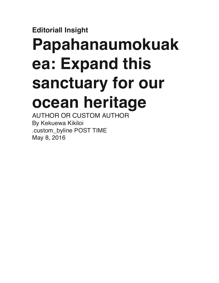## **Editorial| Insight**

## **Papahanaumokuak ea: Expand this sanctuary for our ocean heritage**

AUTHOR OR CUSTOM AUTHOR By Kekuewa Kikiloi .custom\_byline POST TIME May 8, 2016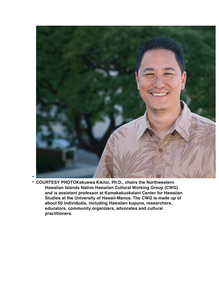

• **COURTESY PHOTOKekuewa Kikiloi, Ph.D., chairs the Northwestern Hawaiian Islands Native Hawaiian Cultural Working Group (CWG) and is assistant professor at Kamakakuokalani Center for Hawaiian Studies at the University of Hawaii-Manoa. The CWG is made up of about 50 individuals, including Hawaiian kupuna, researchers, educators, community organizers, advocates and cultural practitioners.**

•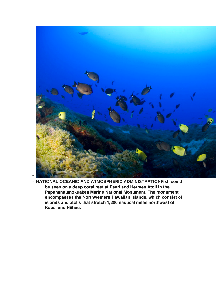

• • **NATIONAL OCEANIC AND ATMOSPHERIC ADMINISTRATIONFish could be seen on a deep coral reef at Pearl and Hermes Atoll in the Papahanaumokuakea Marine National Monument. The monument encompasses the Northwestern Hawaiian islands, which consist of islands and atolls that stretch 1,200 nautical miles northwest of Kauai and Niihau.**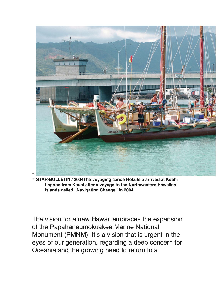

• **STAR-BULLETIN / 2004The voyaging canoe Hokule'a arrived at Keehi Lagoon from Kauai after a voyage to the Northwestern Hawaiian Islands called "Navigating Change" in 2004.**

The vision for a new Hawaii embraces the expansion of the Papahanaumokuakea Marine National Monument (PMNM). It's a vision that is urgent in the eyes of our generation, regarding a deep concern for Oceania and the growing need to return to a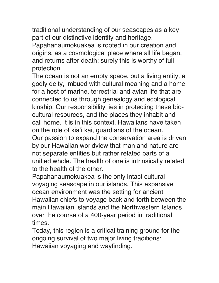traditional understanding of our seascapes as a key part of our distinctive identity and heritage.

Papahanaumokuakea is rooted in our creation and origins, as a cosmological place where all life began, and returns after death; surely this is worthy of full protection.

The ocean is not an empty space, but a living entity, a godly deity, imbued with cultural meaning and a home for a host of marine, terrestrial and avian life that are connected to us through genealogy and ecological kinship. Our responsibility lies in protecting these biocultural resources, and the places they inhabit and call home. It is in this context, Hawaiians have taken on the role of kia'i kai, guardians of the ocean. Our passion to expand the conservation area is driven by our Hawaiian worldview that man and nature are not separate entities but rather related parts of a unified whole. The health of one is intrinsically related to the health of the other.

Papahanaumokuakea is the only intact cultural voyaging seascape in our islands. This expansive ocean environment was the setting for ancient Hawaiian chiefs to voyage back and forth between the main Hawaiian Islands and the Northwestern Islands over the course of a 400-year period in traditional times.

Today, this region is a critical training ground for the ongoing survival of two major living traditions: Hawaiian voyaging and wayfinding.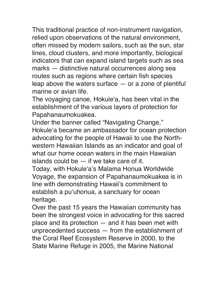This traditional practice of non-instrument navigation, relied upon observations of the natural environment, often missed by modern sailors, such as the sun, star lines, cloud clusters, and more importantly, biological indicators that can expand island targets such as sea marks — distinctive natural occurrences along sea routes such as regions where certain fish species leap above the waters surface  $-$  or a zone of plentiful marine or avian life.

The voyaging canoe, Hokule'a, has been vital in the establishment of the various layers of protection for Papahanaumokuakea.

Under the banner called "Navigating Change," Hokule'a became an ambassador for ocean protection advocating for the people of Hawaii to use the Northwestern Hawaiian Islands as an indicator and goal of what our home ocean waters in the main Hawaiian islands could be — if we take care of it.

Today, with Hokule'a's Malama Honua Worldwide Voyage, the expansion of Papahanaumokuakea is in line with demonstrating Hawaii's commitment to establish a pu'uhonua, a sanctuary for ocean heritage.

Over the past 15 years the Hawaiian community has been the strongest voice in advocating for this sacred place and its protection — and it has been met with unprecedented success — from the establishment of the Coral Reef Ecosystem Reserve in 2000, to the State Marine Refuge in 2005, the Marine National